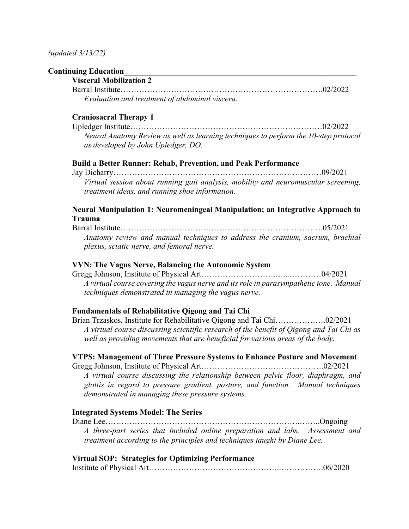### **Continuing Education\_\_\_\_\_\_\_\_\_\_\_\_\_\_\_\_\_\_\_\_\_\_\_\_\_\_\_\_\_\_\_\_\_\_\_\_\_\_\_\_\_\_\_\_\_\_\_\_\_\_\_\_\_\_\_\_\_\_**

## **Visceral Mobilization 2**

Barral Institute………………………………………………………………….02/2022 *Evaluation and treatment of abdominal viscera.*

## **Craniosacral Therapy 1**

Upledger Institute………………………………………………………………02/2022 *Neural Anatomy Review as well as learning techniques to perform the 10-step protocol as developed by John Upledger, DO.*

## **Build a Better Runner: Rehab, Prevention, and Peak Performance**

Jay Dicharry……………………………………………………………………09/2021 *Virtual session about running gait analysis, mobility and neuromuscular screening, treatment ideas, and running shoe information.*

## **Neural Manipulation 1: Neuromeningeal Manipulation; an Integrative Approach to Trauma**

Barral Institute………………………………………………………………….05/2021 *Anatomy review and manual techniques to address the cranium, sacrum, brachial plexus, sciatic nerve, and femoral nerve.*

#### **VVN: The Vagus Nerve, Balancing the Autonomic System**

Gregg Johnson, Institute of Physical Art……………………….…...…………04/2021 *A virtual course covering the vagus nerve and its role in parasympathetic tone. Manual techniques demonstrated in managing the vagus nerve.*

### **Fundamentals of Rehabilitative Qigong and Tai Chi**

Brian Trzaskos, Institute for Rehabilitative Qigong and Tai Chi……………….02/2021 *A virtual course discussing scientific research of the benefit of Qigong and Tai Chi as well as providing movements that are beneficial for various areas of the body.*

## **VTPS: Management of Three Pressure Systems to Enhance Posture and Movement**

Gregg Johnson, Institute of Physical Art……………………………………….02/2021

*A virtual course discussing the relationship between pelvic floor, diaphragm, and glottis in regard to pressure gradient, posture, and function. Manual techniques demonstrated in managing these pressure systems.*

#### **Integrated Systems Model: The Series**

Diane Lee……………………………………………………………….……..Ongoing *A three-part series that included online preparation and labs. Assessment and treatment according to the principles and techniques taught by Diane Lee.*

#### **Virtual SOP: Strategies for Optimizing Performance**

|--|--|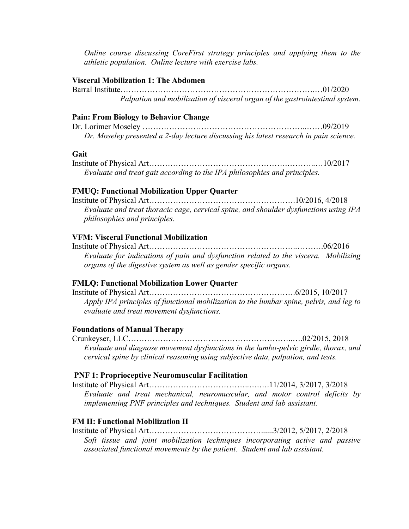*Online course discussing CoreFirst strategy principles and applying them to the athletic population. Online lecture with exercise labs.*

#### **Visceral Mobilization 1: The Abdomen**

Barral Institute……………………………………………………………….…01/2020 *Palpation and mobilization of visceral organ of the gastrointestinal system.*

#### **Pain: From Biology to Behavior Change**

Dr. Lorimer Moseley ……………………………………………………..……09/2019 *Dr. Moseley presented a 2-day lecture discussing his latest research in pain science.* 

## **Gait**

Institute of Physical Art…………………………………………….………..…10/2017 *Evaluate and treat gait according to the IPA philosophies and principles.*

#### **FMUQ: Functional Mobilization Upper Quarter**

Institute of Physical Art……………………………………………….10/2016, 4/2018 *Evaluate and treat thoracic cage, cervical spine, and shoulder dysfunctions using IPA philosophies and principles.*

#### **VFM: Visceral Functional Mobilization**

Institute of Physical Art………………………………………………..……….06/2016 *Evaluate for indications of pain and dysfunction related to the viscera. Mobilizing organs of the digestive system as well as gender specific organs.*

## **FMLQ: Functional Mobilization Lower Quarter**

Institute of Physical Art……………………………………………….6/2015, 10/2017 *Apply IPA principles of functional mobilization to the lumbar spine, pelvis, and leg to evaluate and treat movement dysfunctions.*

#### **Foundations of Manual Therapy**

Crunkeyser, LLC……………………………………………………..….02/2015, 2018 *Evaluate and diagnose movement dysfunctions in the lumbo-pelvic girdle, thorax, and cervical spine by clinical reasoning using subjective data, palpation, and tests.* 

### **PNF 1: Proprioceptive Neuromuscular Facilitation**

Institute of Physical Art………………………………..….….11/2014, 3/2017, 3/2018 *Evaluate and treat mechanical, neuromuscular, and motor control deficits by implementing PNF principles and techniques. Student and lab assistant.*

#### **FM II: Functional Mobilization II**

Institute of Physical Art……………………………………......3/2012, 5/2017, 2/2018 *Soft tissue and joint mobilization techniques incorporating active and passive associated functional movements by the patient. Student and lab assistant.*